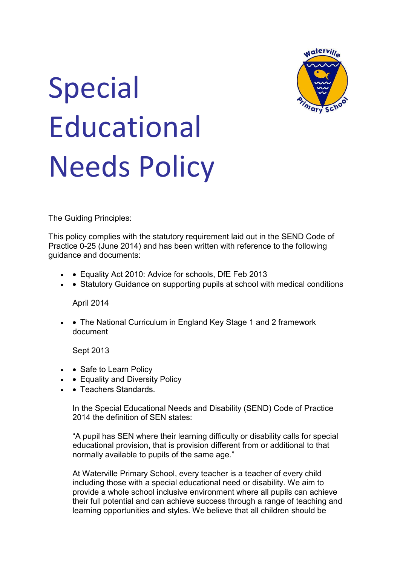

# Special **Educational** Needs Policy

The Guiding Principles:

This policy complies with the statutory requirement laid out in the SEND Code of Practice 0-25 (June 2014) and has been written with reference to the following guidance and documents:

- • Equality Act 2010: Advice for schools, DfE Feb 2013
- • Statutory Guidance on supporting pupils at school with medical conditions

April 2014

• • The National Curriculum in England Key Stage 1 and 2 framework document

Sept 2013

- Safe to Learn Policy
- • Equality and Diversity Policy
- Teachers Standards

In the Special Educational Needs and Disability (SEND) Code of Practice 2014 the definition of SEN states:

"A pupil has SEN where their learning difficulty or disability calls for special educational provision, that is provision different from or additional to that normally available to pupils of the same age."

At Waterville Primary School, every teacher is a teacher of every child including those with a special educational need or disability. We aim to provide a whole school inclusive environment where all pupils can achieve their full potential and can achieve success through a range of teaching and learning opportunities and styles. We believe that all children should be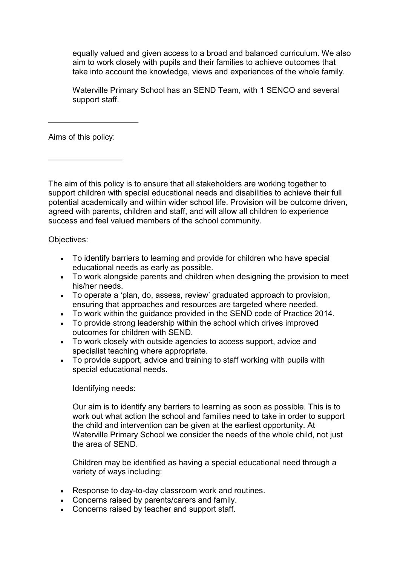equally valued and given access to a broad and balanced curriculum. We also aim to work closely with pupils and their families to achieve outcomes that take into account the knowledge, views and experiences of the whole family.

Waterville Primary School has an SEND Team, with 1 SENCO and several support staff.

Aims of this policy:

The aim of this policy is to ensure that all stakeholders are working together to support children with special educational needs and disabilities to achieve their full potential academically and within wider school life. Provision will be outcome driven, agreed with parents, children and staff, and will allow all children to experience success and feel valued members of the school community.

Objectives:

- To identify barriers to learning and provide for children who have special educational needs as early as possible.
- To work alongside parents and children when designing the provision to meet his/her needs.
- To operate a 'plan, do, assess, review' graduated approach to provision, ensuring that approaches and resources are targeted where needed.
- To work within the guidance provided in the SEND code of Practice 2014.
- To provide strong leadership within the school which drives improved outcomes for children with SEND.
- To work closely with outside agencies to access support, advice and specialist teaching where appropriate.
- To provide support, advice and training to staff working with pupils with special educational needs.

Identifying needs:

Our aim is to identify any barriers to learning as soon as possible. This is to work out what action the school and families need to take in order to support the child and intervention can be given at the earliest opportunity. At Waterville Primary School we consider the needs of the whole child, not just the area of SEND.

Children may be identified as having a special educational need through a variety of ways including:

- Response to day-to-day classroom work and routines.
- Concerns raised by parents/carers and family.
- Concerns raised by teacher and support staff.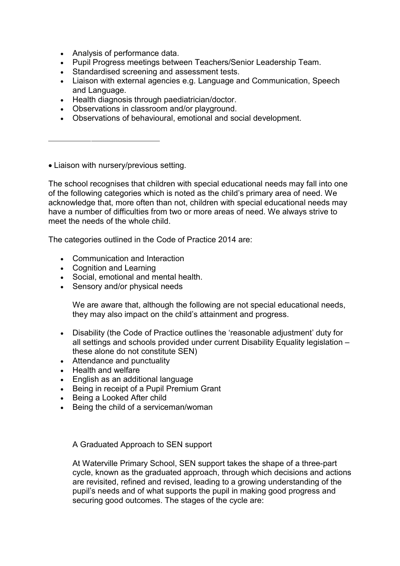- Analysis of performance data.
- Pupil Progress meetings between Teachers/Senior Leadership Team.
- Standardised screening and assessment tests.
- Liaison with external agencies e.g. Language and Communication, Speech and Language.
- Health diagnosis through paediatrician/doctor.
- Observations in classroom and/or playground.
- Observations of behavioural, emotional and social development.

Liaison with nursery/previous setting.

The school recognises that children with special educational needs may fall into one of the following categories which is noted as the child's primary area of need. We acknowledge that, more often than not, children with special educational needs may have a number of difficulties from two or more areas of need. We always strive to meet the needs of the whole child.

The categories outlined in the Code of Practice 2014 are:

- Communication and Interaction
- Cognition and Learning
- Social, emotional and mental health.
- Sensory and/or physical needs

We are aware that, although the following are not special educational needs, they may also impact on the child's attainment and progress.

- Disability (the Code of Practice outlines the 'reasonable adjustment' duty for all settings and schools provided under current Disability Equality legislation – these alone do not constitute SEN)
- Attendance and punctuality
- Health and welfare
- English as an additional language
- Being in receipt of a Pupil Premium Grant
- Being a Looked After child
- Being the child of a serviceman/woman

A Graduated Approach to SEN support

At Waterville Primary School, SEN support takes the shape of a three-part cycle, known as the graduated approach, through which decisions and actions are revisited, refined and revised, leading to a growing understanding of the pupil's needs and of what supports the pupil in making good progress and securing good outcomes. The stages of the cycle are: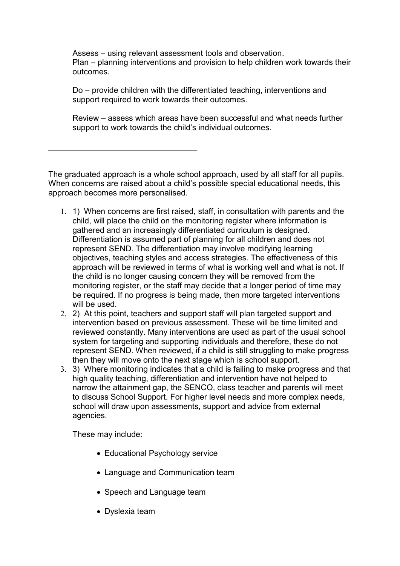Assess – using relevant assessment tools and observation. Plan – planning interventions and provision to help children work towards their outcomes.

Do – provide children with the differentiated teaching, interventions and support required to work towards their outcomes.

Review – assess which areas have been successful and what needs further support to work towards the child's individual outcomes.

The graduated approach is a whole school approach, used by all staff for all pupils. When concerns are raised about a child's possible special educational needs, this approach becomes more personalised.

- 1. 1) When concerns are first raised, staff, in consultation with parents and the child, will place the child on the monitoring register where information is gathered and an increasingly differentiated curriculum is designed. Differentiation is assumed part of planning for all children and does not represent SEND. The differentiation may involve modifying learning objectives, teaching styles and access strategies. The effectiveness of this approach will be reviewed in terms of what is working well and what is not. If the child is no longer causing concern they will be removed from the monitoring register, or the staff may decide that a longer period of time may be required. If no progress is being made, then more targeted interventions will be used.
- 2. 2) At this point, teachers and support staff will plan targeted support and intervention based on previous assessment. These will be time limited and reviewed constantly. Many interventions are used as part of the usual school system for targeting and supporting individuals and therefore, these do not represent SEND. When reviewed, if a child is still struggling to make progress then they will move onto the next stage which is school support.
- 3. 3) Where monitoring indicates that a child is failing to make progress and that high quality teaching, differentiation and intervention have not helped to narrow the attainment gap, the SENCO, class teacher and parents will meet to discuss School Support. For higher level needs and more complex needs, school will draw upon assessments, support and advice from external agencies.

These may include:

- Educational Psychology service
- Language and Communication team
- Speech and Language team
- Dyslexia team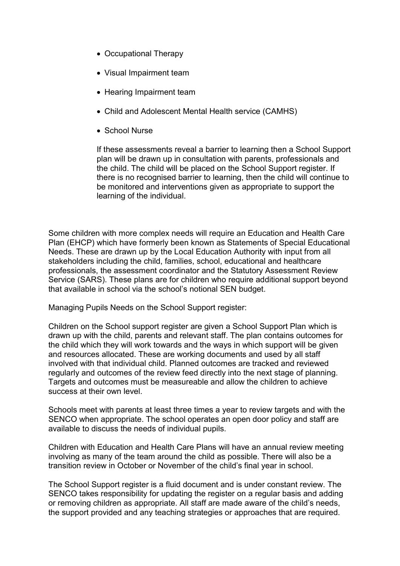- Occupational Therapy
- Visual Impairment team
- Hearing Impairment team
- Child and Adolescent Mental Health service (CAMHS)
- School Nurse

If these assessments reveal a barrier to learning then a School Support plan will be drawn up in consultation with parents, professionals and the child. The child will be placed on the School Support register. If there is no recognised barrier to learning, then the child will continue to be monitored and interventions given as appropriate to support the learning of the individual.

Some children with more complex needs will require an Education and Health Care Plan (EHCP) which have formerly been known as Statements of Special Educational Needs. These are drawn up by the Local Education Authority with input from all stakeholders including the child, families, school, educational and healthcare professionals, the assessment coordinator and the Statutory Assessment Review Service (SARS). These plans are for children who require additional support beyond that available in school via the school's notional SEN budget.

Managing Pupils Needs on the School Support register:

Children on the School support register are given a School Support Plan which is drawn up with the child, parents and relevant staff. The plan contains outcomes for the child which they will work towards and the ways in which support will be given and resources allocated. These are working documents and used by all staff involved with that individual child. Planned outcomes are tracked and reviewed regularly and outcomes of the review feed directly into the next stage of planning. Targets and outcomes must be measureable and allow the children to achieve success at their own level.

Schools meet with parents at least three times a year to review targets and with the SENCO when appropriate. The school operates an open door policy and staff are available to discuss the needs of individual pupils.

Children with Education and Health Care Plans will have an annual review meeting involving as many of the team around the child as possible. There will also be a transition review in October or November of the child's final year in school.

The School Support register is a fluid document and is under constant review. The SENCO takes responsibility for updating the register on a regular basis and adding or removing children as appropriate. All staff are made aware of the child's needs, the support provided and any teaching strategies or approaches that are required.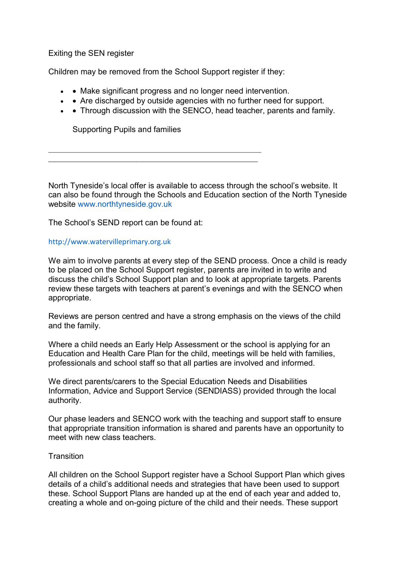Exiting the SEN register

Children may be removed from the School Support register if they:

- • Make significant progress and no longer need intervention.
- • Are discharged by outside agencies with no further need for support.
- • Through discussion with the SENCO, head teacher, parents and family.

Supporting Pupils and families

North Tyneside's local offer is available to access through the school's website. It can also be found through the Schools and Education section of the North Tyneside website www.northtyneside.gov.uk

The School's SEND report can be found at:

### http://www.watervilleprimary.org.uk

We aim to involve parents at every step of the SEND process. Once a child is ready to be placed on the School Support register, parents are invited in to write and discuss the child's School Support plan and to look at appropriate targets. Parents review these targets with teachers at parent's evenings and with the SENCO when appropriate.

Reviews are person centred and have a strong emphasis on the views of the child and the family.

Where a child needs an Early Help Assessment or the school is applying for an Education and Health Care Plan for the child, meetings will be held with families, professionals and school staff so that all parties are involved and informed.

We direct parents/carers to the Special Education Needs and Disabilities Information, Advice and Support Service (SENDIASS) provided through the local authority.

Our phase leaders and SENCO work with the teaching and support staff to ensure that appropriate transition information is shared and parents have an opportunity to meet with new class teachers.

### **Transition**

All children on the School Support register have a School Support Plan which gives details of a child's additional needs and strategies that have been used to support these. School Support Plans are handed up at the end of each year and added to, creating a whole and on-going picture of the child and their needs. These support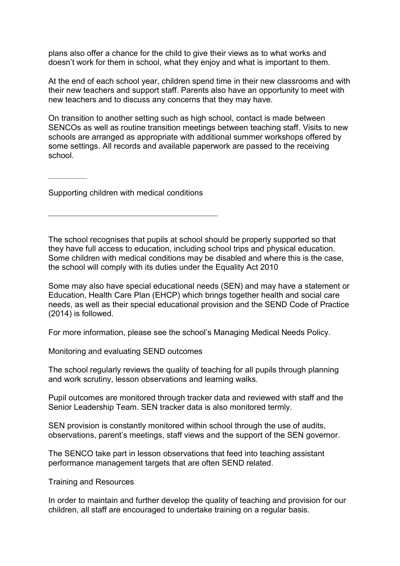plans also offer a chance for the child to give their views as to what works and doesn't work for them in school, what they enjoy and what is important to them.

At the end of each school year, children spend time in their new classrooms and with their new teachers and support staff. Parents also have an opportunity to meet with new teachers and to discuss any concerns that they may have.

On transition to another setting such as high school, contact is made between SENCOs as well as routine transition meetings between teaching staff. Visits to new schools are arranged as appropriate with additional summer workshops offered by some settings. All records and available paperwork are passed to the receiving school.

Supporting children with medical conditions

The school recognises that pupils at school should be properly supported so that they have full access to education, including school trips and physical education. Some children with medical conditions may be disabled and where this is the case, the school will comply with its duties under the Equality Act 2010

Some may also have special educational needs (SEN) and may have a statement or Education, Health Care Plan (EHCP) which brings together health and social care needs, as well as their special educational provision and the SEND Code of Practice (2014) is followed.

For more information, please see the school's Managing Medical Needs Policy.

Monitoring and evaluating SEND outcomes

The school regularly reviews the quality of teaching for all pupils through planning and work scrutiny, lesson observations and learning walks.

Pupil outcomes are monitored through tracker data and reviewed with staff and the Senior Leadership Team. SEN tracker data is also monitored termly.

SEN provision is constantly monitored within school through the use of audits, observations, parent's meetings, staff views and the support of the SEN governor.

The SENCO take part in lesson observations that feed into teaching assistant performance management targets that are often SEND related.

Training and Resources

In order to maintain and further develop the quality of teaching and provision for our children, all staff are encouraged to undertake training on a regular basis.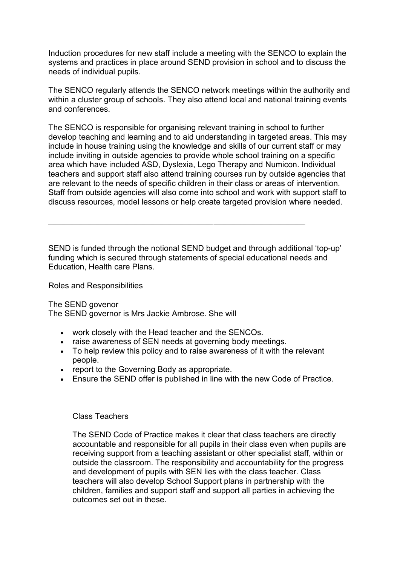Induction procedures for new staff include a meeting with the SENCO to explain the systems and practices in place around SEND provision in school and to discuss the needs of individual pupils.

The SENCO regularly attends the SENCO network meetings within the authority and within a cluster group of schools. They also attend local and national training events and conferences.

The SENCO is responsible for organising relevant training in school to further develop teaching and learning and to aid understanding in targeted areas. This may include in house training using the knowledge and skills of our current staff or may include inviting in outside agencies to provide whole school training on a specific area which have included ASD, Dyslexia, Lego Therapy and Numicon. Individual teachers and support staff also attend training courses run by outside agencies that are relevant to the needs of specific children in their class or areas of intervention. Staff from outside agencies will also come into school and work with support staff to discuss resources, model lessons or help create targeted provision where needed.

SEND is funded through the notional SEND budget and through additional 'top-up' funding which is secured through statements of special educational needs and Education, Health care Plans.

Roles and Responsibilities

The SEND govenor The SEND governor is Mrs Jackie Ambrose. She will

- work closely with the Head teacher and the SENCOs.
- raise awareness of SEN needs at governing body meetings.
- To help review this policy and to raise awareness of it with the relevant people.
- report to the Governing Body as appropriate.
- Ensure the SEND offer is published in line with the new Code of Practice.

#### Class Teachers

The SEND Code of Practice makes it clear that class teachers are directly accountable and responsible for all pupils in their class even when pupils are receiving support from a teaching assistant or other specialist staff, within or outside the classroom. The responsibility and accountability for the progress and development of pupils with SEN lies with the class teacher. Class teachers will also develop School Support plans in partnership with the children, families and support staff and support all parties in achieving the outcomes set out in these.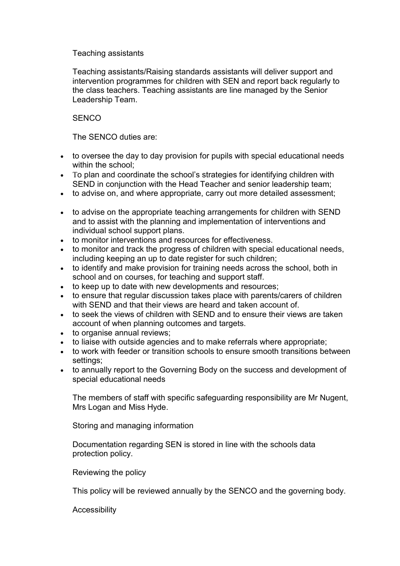# Teaching assistants

Teaching assistants/Raising standards assistants will deliver support and intervention programmes for children with SEN and report back regularly to the class teachers. Teaching assistants are line managed by the Senior Leadership Team.

# **SENCO**

The SENCO duties are:

- to oversee the day to day provision for pupils with special educational needs within the school;
- To plan and coordinate the school's strategies for identifying children with SEND in conjunction with the Head Teacher and senior leadership team;
- to advise on, and where appropriate, carry out more detailed assessment;
- to advise on the appropriate teaching arrangements for children with SEND and to assist with the planning and implementation of interventions and individual school support plans.
- to monitor interventions and resources for effectiveness.
- to monitor and track the progress of children with special educational needs, including keeping an up to date register for such children;
- to identify and make provision for training needs across the school, both in school and on courses, for teaching and support staff.
- to keep up to date with new developments and resources;
- to ensure that regular discussion takes place with parents/carers of children with SEND and that their views are heard and taken account of.
- to seek the views of children with SEND and to ensure their views are taken account of when planning outcomes and targets.
- to organise annual reviews;
- to liaise with outside agencies and to make referrals where appropriate;
- to work with feeder or transition schools to ensure smooth transitions between settings;
- to annually report to the Governing Body on the success and development of special educational needs

The members of staff with specific safeguarding responsibility are Mr Nugent, Mrs Logan and Miss Hyde.

Storing and managing information

Documentation regarding SEN is stored in line with the schools data protection policy.

Reviewing the policy

This policy will be reviewed annually by the SENCO and the governing body.

Accessibility